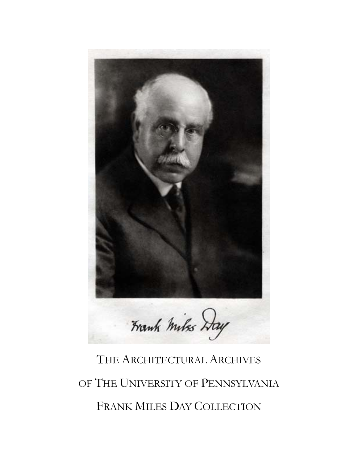

# THE ARCHITECTURAL ARCHIVES OF THE UNIVERSITY OF PENNSYLVANIA FRANK MILES DAY COLLECTION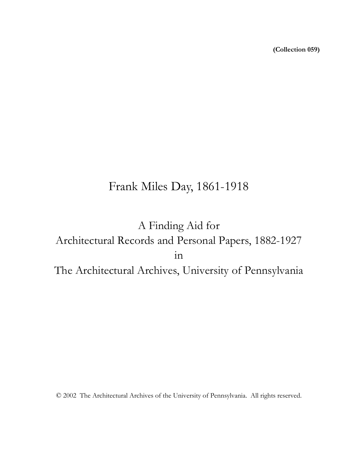**(Collection 059)**

# Frank Miles Day, 1861-1918

# A Finding Aid for Architectural Records and Personal Papers, 1882-1927 in The Architectural Archives, University of Pennsylvania

© 2002 The Architectural Archives of the University of Pennsylvania. All rights reserved.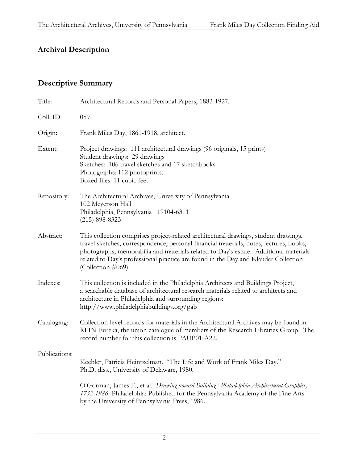# **Archival Description**

# **Descriptive Summary**

| Title:        | Architectural Records and Personal Papers, 1882-1927.                                                                                                                                                                                                                                                                                                                             |
|---------------|-----------------------------------------------------------------------------------------------------------------------------------------------------------------------------------------------------------------------------------------------------------------------------------------------------------------------------------------------------------------------------------|
| Coll. ID:     | 059                                                                                                                                                                                                                                                                                                                                                                               |
| Origin:       | Frank Miles Day, 1861-1918, architect.                                                                                                                                                                                                                                                                                                                                            |
| Extent:       | Project drawings: 111 architectural drawings (96 originals, 15 prints)<br>Student drawings: 29 drawings<br>Sketches: 106 travel sketches and 17 sketchbooks<br>Photographs: 112 photoprints.<br>Boxed files: 11 cubic feet.                                                                                                                                                       |
| Repository:   | The Architectural Archives, University of Pennsylvania<br>102 Meyerson Hall<br>Philadelphia, Pennsylvania 19104-6311<br>$(215) 898 - 8323$                                                                                                                                                                                                                                        |
| Abstract:     | This collection comprises project-related architectural drawings, student drawings,<br>travel sketches, correspondence, personal financial materials, notes, lectures, books,<br>photographs, memorabilia and materials related to Day's estate. Additional materials<br>related to Day's professional practice are found in the Day and Klauder Collection<br>(Collection #069). |
| Indexes:      | This collection is included in the Philadelphia Architects and Buildings Project,<br>a searchable database of architectural research materials related to architects and<br>architecture in Philadelphia and surrounding regions:<br>http://www.philadelphiabuildings.org/pab                                                                                                     |
| Cataloging:   | Collection-level records for materials in the Architectural Archives may be found in<br>RLIN Eureka, the union catalogue of members of the Research Libraries Group. The<br>record number for this collection is PAUP01-A22.                                                                                                                                                      |
| Publications: | Keebler, Patricia Heintzelman. "The Life and Work of Frank Miles Day."<br>Ph.D. diss., University of Delaware, 1980.                                                                                                                                                                                                                                                              |
|               | O'Gorman, James F., et al. Drawing toward Building : Philadelphia Architectural Graphics,<br>1732-1986 Philadelphia: Published for the Pennsylvania Academy of the Fine Arts<br>by the University of Pennsylvania Press, 1986.                                                                                                                                                    |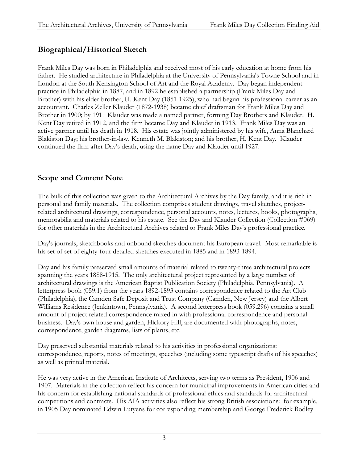# **Biographical/Historical Sketch**

Frank Miles Day was born in Philadelphia and received most of his early education at home from his father. He studied architecture in Philadelphia at the University of Pennsylvania's Towne School and in London at the South Kensington School of Art and the Royal Academy. Day began independent practice in Philadelphia in 1887, and in 1892 he established a partnership (Frank Miles Day and Brother) with his elder brother, H. Kent Day (1851-1925), who had begun his professional career as an accountant. Charles Zeller Klauder (1872-1938) became chief draftsman for Frank Miles Day and Brother in 1900; by 1911 Klauder was made a named partner, forming Day Brothers and Klauder. H. Kent Day retired in 1912, and the firm became Day and Klauder in 1913. Frank Miles Day was an active partner until his death in 1918. His estate was jointly administered by his wife, Anna Blanchard Blakiston Day; his brother-in-law, Kenneth M. Blakiston; and his brother, H. Kent Day. Klauder continued the firm after Day's death, using the name Day and Klauder until 1927.

# **Scope and Content Note**

The bulk of this collection was given to the Architectural Archives by the Day family, and it is rich in personal and family materials. The collection comprises student drawings, travel sketches, projectrelated architectural drawings, correspondence, personal accounts, notes, lectures, books, photographs, memorabilia and materials related to his estate. See the Day and Klauder Collection (Collection #069) for other materials in the Architectural Archives related to Frank Miles Day's professional practice.

Day's journals, sketchbooks and unbound sketches document his European travel. Most remarkable is his set of set of eighty-four detailed sketches executed in 1885 and in 1893-1894.

Day and his family preserved small amounts of material related to twenty-three architectural projects spanning the years 1888-1915. The only architectural project represented by a large number of architectural drawings is the American Baptist Publication Society (Philadelphia, Pennsylvania). A letterpress book (059.1) from the years 1892-1893 contains correspondence related to the Art Club (Philadelphia), the Camden Safe Deposit and Trust Company (Camden, New Jersey) and the Albert Williams Residence (Jenkintown, Pennsylvania). A second letterpress book (059.296) contains a small amount of project related correspondence mixed in with professional correspondence and personal business. Day's own house and garden, Hickory Hill, are documented with photographs, notes, correspondence, garden diagrams, lists of plants, etc.

Day preserved substantial materials related to his activities in professional organizations: correspondence, reports, notes of meetings, speeches (including some typescript drafts of his speeches) as well as printed material.

He was very active in the American Institute of Architects, serving two terms as President, 1906 and 1907. Materials in the collection reflect his concern for municipal improvements in American cities and his concern for establishing national standards of professional ethics and standards for architectural competitions and contracts. His AIA activities also reflect his strong British associations: for example, in 1905 Day nominated Edwin Lutyens for corresponding membership and George Frederick Bodley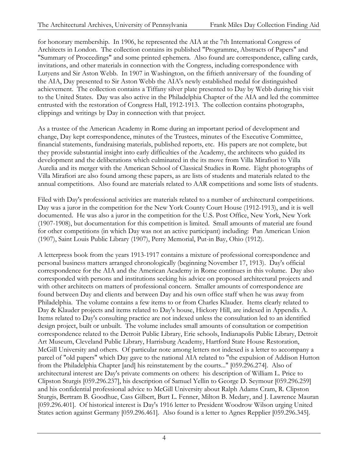for honorary membership. In 1906, he represented the AIA at the 7th International Congress of Architects in London. The collection contains its published "Programme, Abstracts of Papers" and "Summary of Proceedings" and some printed ephemera. Also found are correspondence, calling cards, invitations, and other materials in connection with the Congress, including correspondence with Lutyens and Sir Aston Webb. In 1907 in Washington, on the fiftieth anniversary of the founding of the AIA, Day presented to Sir Aston Webb the AIA's newly established medal for distinguished achievement. The collection contains a Tiffany silver plate presented to Day by Webb during his visit to the United States. Day was also active in the Philadelphia Chapter of the AIA and led the committee entrusted with the restoration of Congress Hall, 1912-1913. The collection contains photographs, clippings and writings by Day in connection with that project.

As a trustee of the American Academy in Rome during an important period of development and change, Day kept correspondence, minutes of the Trustees, minutes of the Executive Committee, financial statements, fundraising materials, published reports, etc. His papers are not complete, but they provide substantial insight into early difficulties of the Academy, the architects who guided its development and the deliberations which culminated in the its move from Villa Mirafiori to Villa Aurelia and its merger with the American School of Classical Studies in Rome. Eight photographs of Villa Mirafiori are also found among these papers, as are lists of students and materials related to the annual competitions. Also found are materials related to AAR competitions and some lists of students.

Filed with Day's professional activities are materials related to a number of architectural competitions. Day was a juror in the competition for the New York County Court House (1912-1913), and it is well documented. He was also a juror in the competition for the U.S. Post Office, New York, New York (1907-1908), but documentation for this competition is limited. Small amounts of material are found for other competitions (in which Day was not an active participant) including: Pan American Union (1907), Saint Louis Public Library (1907), Perry Memorial, Put-in Bay, Ohio (1912).

A letterpress book from the years 1913-1917 contains a mixture of professional correspondence and personal business matters arranged chronologically (beginning November 17, 1913). Day's official correspondence for the AIA and the American Academy in Rome continues in this volume. Day also corresponded with persons and institutions seeking his advice on proposed architectural projects and with other architects on matters of professional concern. Smaller amounts of correspondence are found between Day and clients and between Day and his own office staff when he was away from Philadelphia. The volume contains a few items to or from Charles Klauder. Items clearly related to Day & Klauder projects and items related to Day's house, Hickory Hill, are indexed in Appendix A. Items related to Day's consulting practice are not indexed unless the consultation led to an identified design project, built or unbuilt. The volume includes small amounts of consultation or competition correspondence related to the Detroit Public Library, Erie schools, Indianapolis Public Library, Detroit Art Museum, Cleveland Public Library, Harrisburg Academy, Hartford State House Restoration, McGill University and others. Of particular note among letters not indexed is a letter to accompany a parcel of "old papers" which Day gave to the national AIA related to "the expulsion of Addison Hutton from the Philadelphia Chapter [and] his reinstatement by the courts..." [059.296.274]. Also of architectural interest are Day's private comments on others: his description of William L. Price to Clipston Sturgis [059.296.237], his description of Samuel Yellin to George D. Seymour [059.296.259] and his confidential professional advice to McGill University about Ralph Adams Cram, R. Clipston Sturgis, Bertram B. Goodhue, Cass Gilbert, Burt L. Fenner, Milton B. Medary, and J. Lawrence Mauran [059.296.401]. Of historical interest is Day's 1916 letter to President Woodrow Wilson urging United States action against Germany [059.296.461]. Also found is a letter to Agnes Repplier [059.296.345].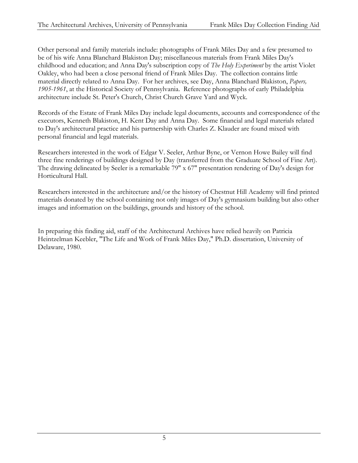Other personal and family materials include: photographs of Frank Miles Day and a few presumed to be of his wife Anna Blanchard Blakiston Day; miscellaneous materials from Frank Miles Day's childhood and education; and Anna Day's subscription copy of *The Holy Experiment* by the artist Violet Oakley, who had been a close personal friend of Frank Miles Day. The collection contains little material directly related to Anna Day. For her archives, see Day, Anna Blanchard Blakiston, *Papers, 1905-1961*, at the Historical Society of Pennsylvania. Reference photographs of early Philadelphia architecture include St. Peter's Church, Christ Church Grave Yard and Wyck.

Records of the Estate of Frank Miles Day include legal documents, accounts and correspondence of the executors, Kenneth Blakiston, H. Kent Day and Anna Day. Some financial and legal materials related to Day's architectural practice and his partnership with Charles Z. Klauder are found mixed with personal financial and legal materials.

Researchers interested in the work of Edgar V. Seeler, Arthur Byne, or Vernon Howe Bailey will find three fine renderings of buildings designed by Day (transferred from the Graduate School of Fine Art). The drawing delineated by Seeler is a remarkable 79" x 67" presentation rendering of Day's design for Horticultural Hall.

Researchers interested in the architecture and/or the history of Chestnut Hill Academy will find printed materials donated by the school containing not only images of Day's gymnasium building but also other images and information on the buildings, grounds and history of the school.

In preparing this finding aid, staff of the Architectural Archives have relied heavily on Patricia Heintzelman Keebler, "The Life and Work of Frank Miles Day," Ph.D. dissertation, University of Delaware, 1980.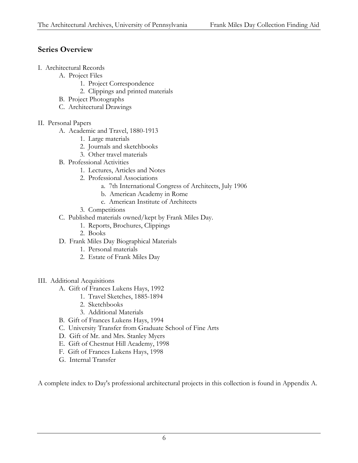# **Series Overview**

- I. Architectural Records
	- A. Project Files
		- 1. Project Correspondence
		- 2. Clippings and printed materials
	- B. Project Photographs
	- C. Architectural Drawings
- II. Personal Papers
	- A. Academic and Travel, 1880-1913
		- 1. Large materials
		- 2. Journals and sketchbooks
		- 3. Other travel materials
	- B. Professional Activities
		- 1. Lectures, Articles and Notes
		- 2. Professional Associations
			- a. 7th International Congress of Architects, July 1906
			- b. American Academy in Rome
			- c. American Institute of Architects
		- 3. Competitions
	- C. Published materials owned/kept by Frank Miles Day.
		- 1. Reports, Brochures, Clippings
		- 2. Books
	- D. Frank Miles Day Biographical Materials
		- 1. Personal materials
		- 2. Estate of Frank Miles Day
- III. Additional Acquisitions
	- A. Gift of Frances Lukens Hays, 1992
		- 1. Travel Sketches, 1885-1894
		- 2. Sketchbooks
		- 3. Additional Materials
	- B. Gift of Frances Lukens Hays, 1994
	- C. University Transfer from Graduate School of Fine Arts
	- D. Gift of Mr. and Mrs. Stanley Myers
	- E. Gift of Chestnut Hill Academy, 1998
	- F. Gift of Frances Lukens Hays, 1998
	- G. Internal Transfer

A complete index to Day's professional architectural projects in this collection is found in Appendix A.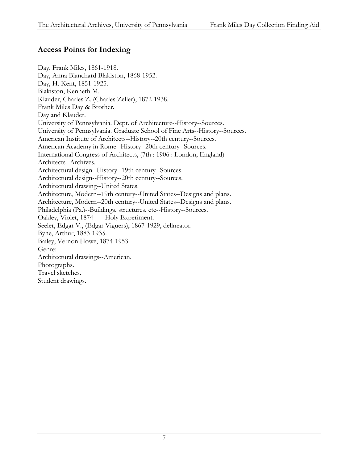# **Access Points for Indexing**

Day, Frank Miles, 1861-1918. Day, Anna Blanchard Blakiston, 1868-1952. Day, H. Kent, 1851-1925. Blakiston, Kenneth M. Klauder, Charles Z. (Charles Zeller), 1872-1938. Frank Miles Day & Brother. Day and Klauder. University of Pennsylvania. Dept. of Architecture--History--Sources. University of Pennsylvania. Graduate School of Fine Arts--History--Sources. American Institute of Architects--History--20th century--Sources. American Academy in Rome--History--20th century--Sources. International Congress of Architects, (7th : 1906 : London, England) Architects--Archives. Architectural design--History--19th century--Sources. Architectural design--History--20th century--Sources. Architectural drawing--United States. Architecture, Modern--19th century--United States--Designs and plans. Architecture, Modern--20th century--United States--Designs and plans. Philadelphia (Pa.)--Buildings, structures, etc--History--Sources. Oakley, Violet, 1874- -- Holy Experiment. Seeler, Edgar V., (Edgar Viguers), 1867-1929, delineator. Byne, Arthur, 1883-1935. Bailey, Vernon Howe, 1874-1953. Genre: Architectural drawings--American. Photographs. Travel sketches. Student drawings.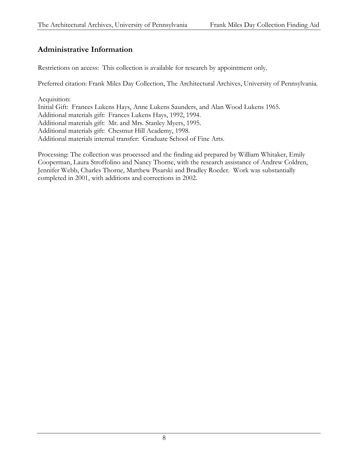# **Administrative Information**

Restrictions on access: This collection is available for research by appointment only.

Preferred citation: Frank Miles Day Collection, The Architectural Archives, University of Pennsylvania.

Acquisition: Initial Gift: Frances Lukens Hays, Anne Lukens Saunders, and Alan Wood Lukens 1965. Additional materials gift: Frances Lukens Hays, 1992, 1994. Additional materials gift: Mr. and Mrs. Stanley Myers, 1995. Additional materials gift: Chestnut Hill Academy, 1998. Additional materials internal transfer: Graduate School of Fine Arts.

Processing: The collection was processed and the finding aid prepared by William Whitaker, Emily Cooperman, Laura Stroffolino and Nancy Thorne, with the research assistance of Andrew Coldren, Jennifer Webb, Charles Thorne, Matthew Pisarski and Bradley Roeder. Work was substantially completed in 2001, with additions and corrections in 2002.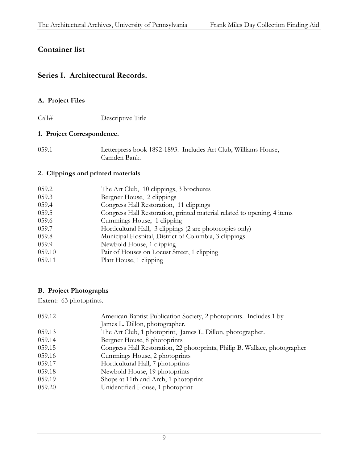# **Container list**

#### **Series I. Architectural Records.**

#### **A. Project Files**

Call# Descriptive Title

#### **1. Project Correspondence.**

059.1 Letterpress book 1892-1893. Includes Art Club, Williams House, Camden Bank.

#### **2. Clippings and printed materials**

| 059.2  | The Art Club, 10 clippings, 3 brochures                                 |
|--------|-------------------------------------------------------------------------|
| 059.3  | Bergner House, 2 clippings                                              |
| 059.4  | Congress Hall Restoration, 11 clippings                                 |
| 059.5  | Congress Hall Restoration, printed material related to opening, 4 items |
| 059.6  | Cummings House, 1 clipping                                              |
| 059.7  | Horticultural Hall, 3 clippings (2 are photocopies only)                |
| 059.8  | Municipal Hospital, District of Columbia, 3 clippings                   |
| 059.9  | Newbold House, 1 clipping                                               |
| 059.10 | Pair of Houses on Locust Street, 1 clipping                             |
| 059.11 | Platt House, 1 clipping                                                 |
|        |                                                                         |

#### **B. Project Photographs**

Extent: 63 photoprints.

| 059.12 | American Baptist Publication Society, 2 photoprints. Includes 1 by         |
|--------|----------------------------------------------------------------------------|
|        | James L. Dillon, photographer.                                             |
| 059.13 | The Art Club, 1 photoprint, James L. Dillon, photographer.                 |
| 059.14 | Bergner House, 8 photoprints                                               |
| 059.15 | Congress Hall Restoration, 22 photoprints, Philip B. Wallace, photographer |
| 059.16 | Cummings House, 2 photoprints                                              |
| 059.17 | Horticultural Hall, 7 photoprints                                          |
| 059.18 | Newbold House, 19 photoprints                                              |
| 059.19 | Shops at 11th and Arch, 1 photoprint                                       |
| 059.20 | Unidentified House, 1 photoprint                                           |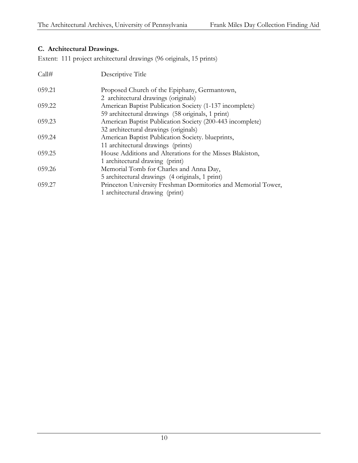#### **C. Architectural Drawings.**

Extent: 111 project architectural drawings (96 originals, 15 prints)

| Call#  | Descriptive Title                                             |
|--------|---------------------------------------------------------------|
| 059.21 | Proposed Church of the Epiphany, Germantown,                  |
|        | 2 architectural drawings (originals)                          |
| 059.22 | American Baptist Publication Society (1-137 incomplete)       |
|        | 59 architectural drawings (58 originals, 1 print)             |
| 059.23 | American Baptist Publication Society (200-443 incomplete)     |
|        | 32 architectural drawings (originals)                         |
| 059.24 | American Baptist Publication Society. blueprints,             |
|        | 11 architectural drawings (prints)                            |
| 059.25 | House Additions and Alterations for the Misses Blakiston,     |
|        | 1 architectural drawing (print)                               |
| 059.26 | Memorial Tomb for Charles and Anna Day,                       |
|        | 5 architectural drawings (4 originals, 1 print)               |
| 059.27 | Princeton University Freshman Dormitories and Memorial Tower, |
|        | 1 architectural drawing (print)                               |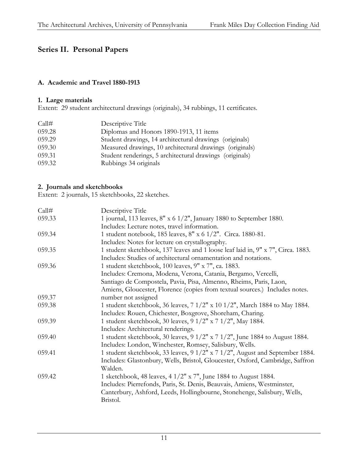# **Series II. Personal Papers**

#### **A. Academic and Travel 1880-1913**

#### **1. Large materials**

Extent: 29 student architectural drawings (originals), 34 rubbings, 11 certificates.

| Call#  | Descriptive Title                                        |
|--------|----------------------------------------------------------|
| 059.28 | Diplomas and Honors 1890-1913, 11 items                  |
| 059.29 | Student drawings, 14 architectural drawings (originals)  |
| 059.30 | Measured drawings, 10 architectural drawings (originals) |
| 059.31 | Student renderings, 5 architectural drawings (originals) |
| 059.32 | Rubbings 34 originals                                    |

#### **2. Journals and sketchbooks**

Extent: 2 journals, 15 sketchbooks, 22 sketches.

| Call#  | Descriptive Title                                                                |
|--------|----------------------------------------------------------------------------------|
| 059.33 | 1 journal, 113 leaves, $8''$ x 6 $1/2''$ , January 1880 to September 1880.       |
|        | Includes: Lecture notes, travel information.                                     |
| 059.34 | 1 student notebook, 185 leaves, 8" x 6 1/2". Circa. 1880-81.                     |
|        | Includes: Notes for lecture on crystallography.                                  |
| 059.35 | 1 student sketchbook, 137 leaves and 1 loose leaf laid in, 9" x 7", Circa. 1883. |
|        | Includes: Studies of architectural ornamentation and notations.                  |
| 059.36 | 1 student sketchbook, 100 leaves, 9" x 7", ca. 1883.                             |
|        | Includes: Cremona, Modena, Verona, Catania, Bergamo, Vercelli,                   |
|        | Santiago de Compostela, Pavia, Pisa, Almenno, Rheims, Paris, Laon,               |
|        | Amiens, Gloucester, Florence (copies from textual sources.) Includes notes.      |
| 059.37 | number not assigned                                                              |
| 059.38 | 1 student sketchbook, 36 leaves, 7 1/2" x 10 1/2", March 1884 to May 1884.       |
|        | Includes: Rouen, Chichester, Boxgrove, Shoreham, Charing.                        |
| 059.39 | 1 student sketchbook, 30 leaves, 9 1/2" x 7 1/2", May 1884.                      |
|        | Includes: Architectural renderings.                                              |
| 059.40 | 1 student sketchbook, 30 leaves, 9 1/2" x 7 1/2", June 1884 to August 1884.      |
|        | Includes: London, Winchester, Romsey, Salisbury, Wells.                          |
| 059.41 | 1 student sketchbook, 33 leaves, 9 1/2" x 7 1/2", August and September 1884.     |
|        | Includes: Glastonbury, Wells, Bristol, Gloucester, Oxford, Cambridge, Saffron    |
|        | Walden.                                                                          |
| 059.42 | 1 sketchbook, 48 leaves, 4 $1/2$ " x 7", June 1884 to August 1884.               |
|        | Includes: Pierrefonds, Paris, St. Denis, Beauvais, Amiens, Westminster,          |
|        | Canterbury, Ashford, Leeds, Hollingbourne, Stonehenge, Salisbury, Wells,         |
|        | Bristol.                                                                         |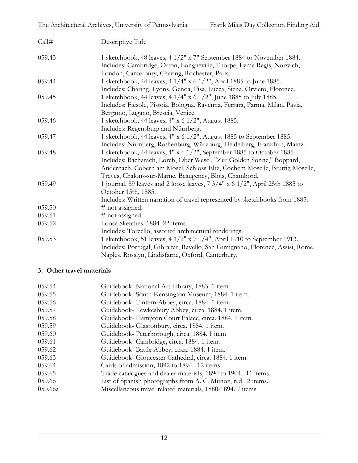| Call#  | Descriptive Title                                                                                                                                                                                                                            |
|--------|----------------------------------------------------------------------------------------------------------------------------------------------------------------------------------------------------------------------------------------------|
| 059.43 | 1 sketchbook, 48 leaves, 4 1/2" x 7" September 1884 to November 1884.<br>Includes: Cambridge, Orton, Longueville, Thorpe, Lyme Regis, Norwich,<br>London, Canterbury, Charing, Rochester, Paris.                                             |
| 059.44 | 1 sketchbook, 44 leaves, 4 1/4" x 6 1/2", April 1885 to June 1885.                                                                                                                                                                           |
| 059.45 | Includes: Charing, Lyons, Genoa, Pisa, Lucca, Siena, Orvieto, Florence.<br>1 sketchbook, 44 leaves, 4 1/4" x 6 1/2", June 1885 to July 1885.<br>Includes: Fiesole, Pistoia, Bologna, Ravenna, Ferrara, Parma, Milan, Pavia,                  |
| 059.46 | Bergamo, Lugano, Brescia, Venice.<br>1 sketchbook, 44 leaves, 4" x 6 1/2", August 1885.                                                                                                                                                      |
|        | Includes: Regensburg and Nürnberg.                                                                                                                                                                                                           |
| 059.47 | 1 sketchbook, 44 leaves, 4" x 6 1/2", August 1885 to September 1885.                                                                                                                                                                         |
|        | Includes: Nürnberg, Rothenburg, Würzburg, Heidelberg, Frankfurt, Mainz.                                                                                                                                                                      |
| 059.48 | 1 sketchbook, 44 leaves, 4" x 6 1/2", September 1885 to October 1885.<br>Includes: Bacharach, Lorch, Ober Wesel, "Zur Golden Sonne," Boppard,<br>Andernach, Cobern am Mosel, Schloss Eltz, Cochem Moselle, Bruttig Moselle,                  |
| 059.49 | Trèves, Chalons-sur-Marne, Beaugency, Blois, Chambord.<br>1 journal, 89 leaves and 2 loose leaves, 7 3/4" x 6 1/2", April 25th 1885 to<br>October 15th, 1885.<br>Includes: Written narration of travel represented by sketchbooks from 1885. |
| 059.50 | # not assigned.                                                                                                                                                                                                                              |
| 059.51 | # not assigned.                                                                                                                                                                                                                              |
| 059.52 | Loose Sketches. 1884. 22 items.                                                                                                                                                                                                              |
|        | Includes: Torcello, assorted architectural renderings.                                                                                                                                                                                       |
| 059.53 | 1 sketchbook, 51 leaves, 4 1/2" x 7 1/4", April 1910 to September 1913.<br>Includes: Portugal, Gibraltar, Ravello, San Gimignano, Florence, Assisi, Rome,<br>Naples, Rosslyn, Lindisfarne, Oxford, Canterbury.                               |

#### **3. Other travel materials**

| 059.54  | Guidebook- National Art Library, 1883. 1 item.                 |
|---------|----------------------------------------------------------------|
| 059.55  | Guidebook-South Kensington Museum, 1884. 1 item.               |
| 059.56  | Guidebook-Tintern Abbey, circa. 1884. 1 item.                  |
| 059.57  | Guidebook-Tewkesbury Abbey, circa. 1884. 1 item.               |
| 059.58  | Guidebook-Hampton Court Palace, circa. 1884. 1 item.           |
| 059.59  | Guidebook- Glastonbury, circa. 1884. 1 item.                   |
| 059.60  | Guidebook- Peterborough, circa. 1884. 1 item                   |
| 059.61  | Guidebook- Cambridge, circa. 1884. 1 item.                     |
| 059.62  | Guidebook-Battle Abbey, circa. 1884. 1 item.                   |
| 059.63  | Guidebook- Gloucester Cathedral, circa. 1884. 1 item.          |
| 059.64  | Cards of admission, 1892 to 1894. 12 items.                    |
| 059.65  | Trade catalogues and dealer materials, 1890 to 1904. 11 items. |
| 059.66  | List of Spanish photographs from A. C. Munoz, n.d. 2 items.    |
| 050.66a | Miscellaneous travel related materials, 1880-1894. 7 items     |
|         |                                                                |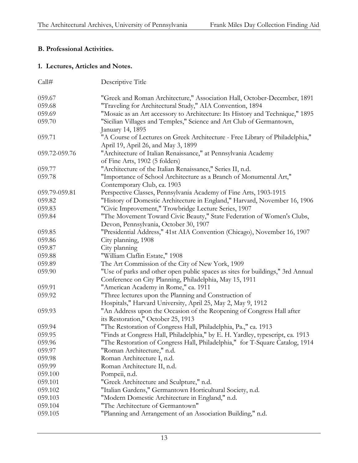#### **B. Professional Activities.**

#### **1. Lectures, Articles and Notes.**

| Call#         | Descriptive Title                                                              |
|---------------|--------------------------------------------------------------------------------|
| 059.67        | "Greek and Roman Architecture," Association Hall, October-December, 1891       |
| 059.68        | "Traveling for Architectural Study," AIA Convention, 1894                      |
| 059.69        | "Mosaic as an Art accessory to Architecture: Its History and Technique," 1895  |
| 059.70        | "Sicilian Villages and Temples," Science and Art Club of Germantown,           |
|               | January 14, 1895                                                               |
| 059.71        | "A Course of Lectures on Greek Architecture - Free Library of Philadelphia,"   |
|               | April 19, April 26, and May 3, 1899                                            |
| 059.72-059.76 | "Architecture of Italian Renaissance," at Pennsylvania Academy                 |
|               | of Fine Arts, 1902 (5 folders)                                                 |
| 059.77        | "Architecture of the Italian Renaissance," Series II, n.d.                     |
| 059.78        | "Importance of School Architecture as a Branch of Monumental Art,"             |
|               | Contemporary Club, ca. 1903                                                    |
| 059.79-059.81 | Perspective Classes, Pennsylvania Academy of Fine Arts, 1903-1915              |
| 059.82        | "History of Domestic Architecture in England," Harvard, November 16, 1906      |
| 059.83        | "Civic Improvement," Trowbridge Lecture Series, 1907                           |
| 059.84        | "The Movement Toward Civic Beauty," State Federation of Women's Clubs,         |
|               | Devon, Pennsylvania, October 30, 1907                                          |
| 059.85        | "Presidential Address," 41st AIA Convention (Chicago), November 16, 1907       |
| 059.86        | City planning, 1908                                                            |
| 059.87        | City planning                                                                  |
| 059.88        | "William Claflin Estate," 1908                                                 |
| 059.89        | The Art Commission of the City of New York, 1909                               |
| 059.90        | "Use of parks and other open public spaces as sites for buildings," 3rd Annual |
|               | Conference on City Planning, Philadelphia, May 15, 1911                        |
| 059.91        | "American Academy in Rome," ca. 1911                                           |
| 059.92        | "Three lectures upon the Planning and Construction of                          |
|               | Hospitals," Harvard University, April 25, May 2, May 9, 1912                   |
| 059.93        | "An Address upon the Occasion of the Reopening of Congress Hall after          |
|               | its Restoration," October 25, 1913                                             |
| 059.94        | "The Restoration of Congress Hall, Philadelphia, Pa.," ca. 1913                |
| 059.95        | "Finds at Congress Hall, Philadelphia," by E. H. Yardley, typescript, ca. 1913 |
| 059.96        | "The Restoration of Congress Hall, Philadelphia," for T-Square Catalog, 1914   |
| 059.97        | "Roman Architecture," n.d.                                                     |
| 059.98        | Roman Architecture I, n.d.                                                     |
| 059.99        | Roman Architecture II, n.d.                                                    |
| 059.100       | Pompeii, n.d.                                                                  |
| 059.101       | "Greek Architecture and Sculpture," n.d.                                       |
| 059.102       | "Italian Gardens," Germantown Horticultural Society, n.d.                      |
| 059.103       | "Modern Domestic Architecture in England," n.d.                                |
| 059.104       | "The Architecture of Germantown"                                               |
| 059.105       | "Planning and Arrangement of an Association Building," n.d.                    |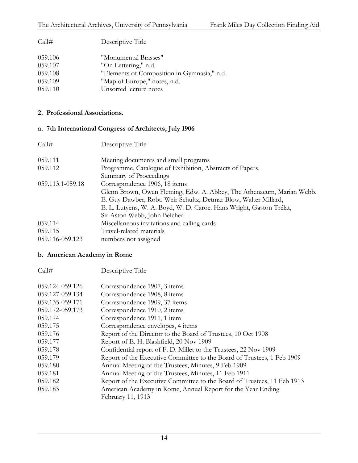Call# Descriptive Title

| 059.106 | "Monumental Brasses"                        |
|---------|---------------------------------------------|
| 059.107 | "On Lettering," n.d.                        |
| 059.108 | "Elements of Composition in Gymnasia," n.d. |
| 059.109 | "Map of Europe," notes, n.d.                |
| 059.110 | Unsorted lecture notes                      |

#### **2. Professional Associations.**

# **a. 7th International Congress of Architects, July 1906**

| Call#            | Descriptive Title                                                     |
|------------------|-----------------------------------------------------------------------|
| 059.111          | Meeting documents and small programs                                  |
| 059.112          | Programme, Catalogue of Exhibition, Abstracts of Papers,              |
|                  | Summary of Proceedings                                                |
| 059.113.1-059.18 | Correspondence 1906, 18 items                                         |
|                  | Glenn Brown, Owen Fleming, Edw. A. Abbey, The Athenaeum, Marian Webb, |
|                  | E. Guy Dawber, Robt. Weir Schultz, Detmar Blow, Walter Millard,       |
|                  | E. L. Lutyens, W. A. Boyd, W. D. Caroe. Hans Wright, Gaston Trélat,   |
|                  | Sir Aston Webb, John Belcher.                                         |
| 059.114          | Miscellaneous invitations and calling cards                           |
| 059.115          | Travel-related materials                                              |
| 059.116-059.123  | numbers not assigned                                                  |

#### **b. American Academy in Rome**

| Call#           | Descriptive Title                                                       |
|-----------------|-------------------------------------------------------------------------|
| 059.124-059.126 | Correspondence 1907, 3 items                                            |
| 059.127-059.134 | Correspondence 1908, 8 items                                            |
| 059.135-059.171 | Correspondence 1909, 37 items                                           |
| 059.172-059.173 | Correspondence 1910, 2 items                                            |
| 059.174         | Correspondence 1911, 1 item                                             |
| 059.175         | Correspondence envelopes, 4 items                                       |
| 059.176         | Report of the Director to the Board of Trustees, 10 Oct 1908            |
| 059.177         | Report of E. H. Blashfield, 20 Nov 1909                                 |
| 059.178         | Confidential report of F. D. Millet to the Trustees, 22 Nov 1909        |
| 059.179         | Report of the Executive Committee to the Board of Trustees, 1 Feb 1909  |
| 059.180         | Annual Meeting of the Trustees, Minutes, 9 Feb 1909                     |
| 059.181         | Annual Meeting of the Trustees, Minutes, 11 Feb 1911                    |
| 059.182         | Report of the Executive Committee to the Board of Trustees, 11 Feb 1913 |
| 059.183         | American Academy in Rome, Annual Report for the Year Ending             |
|                 | February 11, 1913                                                       |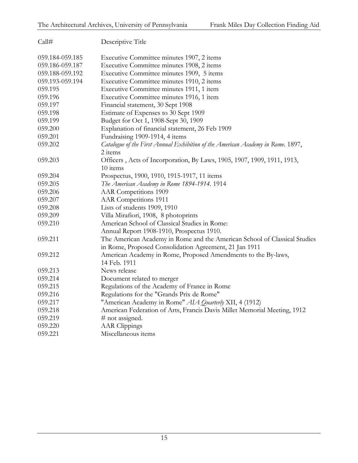| Call#           | Descriptive Title                                                                                                                   |
|-----------------|-------------------------------------------------------------------------------------------------------------------------------------|
| 059.184-059.185 | Executive Committee minutes 1907, 2 items                                                                                           |
| 059.186-059.187 | Executive Committee minutes 1908, 2 items                                                                                           |
| 059.188-059.192 | Executive Committee minutes 1909, 5 items                                                                                           |
| 059.193-059.194 | Executive Committee minutes 1910, 2 items                                                                                           |
| 059.195         | Executive Committee minutes 1911, 1 item                                                                                            |
| 059.196         | Executive Committee minutes 1916, 1 item                                                                                            |
| 059.197         | Financial statement, 30 Sept 1908                                                                                                   |
| 059.198         | Estimate of Expenses to 30 Sept 1909                                                                                                |
| 059.199         | Budget for Oct 1, 1908-Sept 30, 1909                                                                                                |
| 059.200         | Explanation of financial statement, 26 Feb 1909                                                                                     |
| 059.201         | Fundraising 1909-1914, 4 items                                                                                                      |
| 059.202         | Catalogue of the First Annual Exhibition of the American Academy in Rome. 1897,<br>2 items                                          |
| 059.203         | Officers, Acts of Incorporation, By Laws, 1905, 1907, 1909, 1911, 1913,<br>10 items                                                 |
| 059.204         | Prospectus, 1900, 1910, 1915-1917, 11 items                                                                                         |
| 059.205         | The American Academy in Rome 1894-1914. 1914                                                                                        |
| 059.206         | <b>AAR</b> Competitions 1909                                                                                                        |
| 059.207         | <b>AAR</b> Competitions 1911                                                                                                        |
| 059.208         | Lists of students 1909, 1910                                                                                                        |
| 059.209         | Villa Mirafiori, 1908, 8 photoprints                                                                                                |
| 059.210         | American School of Classical Studies in Rome:                                                                                       |
|                 | Annual Report 1908-1910, Prospectus 1910.                                                                                           |
| 059.211         | The American Academy in Rome and the American School of Classical Studies<br>in Rome, Proposed Consolidation Agreement, 21 Jan 1911 |
| 059.212         | American Academy in Rome, Proposed Amendments to the By-laws,                                                                       |
|                 | 14 Feb. 1911                                                                                                                        |
| 059.213         | News release                                                                                                                        |
| 059.214         | Document related to merger                                                                                                          |
| 059.215         | Regulations of the Academy of France in Rome                                                                                        |
| 059.216         | Regulations for the "Grands Prix de Rome"                                                                                           |
| 059.217         | "American Academy in Rome" AIA Quarterly XII, 4 (1912)                                                                              |
| 059.218         | American Federation of Arts, Francis Davis Millet Memorial Meeting, 1912                                                            |
| 059.219         | # not assigned.                                                                                                                     |
| 059.220         | <b>AAR</b> Clippings                                                                                                                |
| 059.221         | Miscellaneous items                                                                                                                 |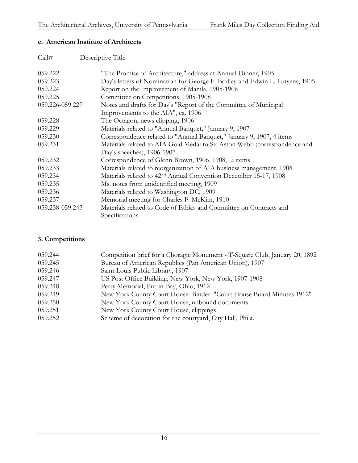#### **c. American Institute of Architects**

| Call#           | Descriptive Title                                                            |
|-----------------|------------------------------------------------------------------------------|
| 059.222         | "The Promise of Architecture," address at Annual Dinner, 1905                |
| 059.223         | Day's letters of Nomination for George F. Bodley and Edwin L. Lutyens, 1905  |
| 059.224         | Report on the Improvement of Manila, 1905-1906                               |
| 059.225         | Committee on Competitions, 1905-1908                                         |
| 059.226-059.227 | Notes and drafts for Day's "Report of the Committee of Municipal             |
|                 | Improvements to the AIA", ca. 1906                                           |
| 059.228         | The Octagon, news clipping, 1906                                             |
| 059.229         | Materials related to "Annual Banquet," January 9, 1907                       |
| 059.230         | Correspondence related to "Annual Banquet," January 9, 1907, 4 items         |
| 059.231         | Materials related to AIA Gold Medal to Sir Aston Webb (correspondence and    |
|                 | Day's speeches), 1906-1907                                                   |
| 059.232         | Correspondence of Glenn Brown, 1906, 1908, 2 items                           |
| 059.233         | Materials related to reorganization of AIA business management, 1908         |
| 059.234         | Materials related to 42 <sup>nd</sup> Annual Convention December 15-17, 1908 |
| 059.235         | Ms. notes from unidentified meeting, 1909                                    |
| 059.236         | Materials related to Washington DC, 1909                                     |
| 059.237         | Memorial meeting for Charles F. McKim, 1910                                  |
| 059.238-059.243 | Materials related to Code of Ethics and Committee on Contracts and           |
|                 | Specifications                                                               |

#### **3. Competitions**

| 059.244 | Competition brief for a Choragic Monument - T-Square Club, January 20, 1892 |
|---------|-----------------------------------------------------------------------------|
| 059.245 | Bureau of American Republics (Pan American Union), 1907                     |
| 059.246 | Saint Louis Public Library, 1907                                            |
| 059.247 | US Post Office Building, New York, New York, 1907-1908                      |
| 059.248 | Perry Memorial, Put-in-Bay, Ohio, 1912                                      |
| 059.249 | New York County Court House Binder: "Court House Board Minutes 1912"        |
| 059.250 | New York County Court House, unbound documents                              |
| 059.251 | New York County Court House, clippings                                      |
| 059.252 | Scheme of decoration for the courtyard, City Hall, Phila.                   |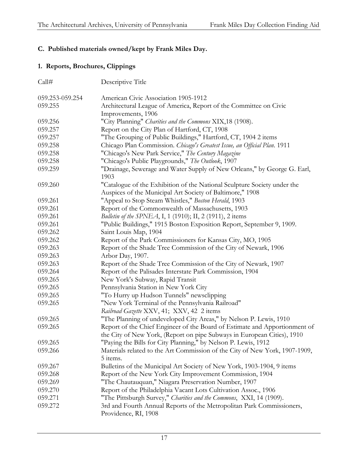#### **C. Published materials owned/kept by Frank Miles Day.**

#### **1. Reports, Brochures, Clippings**

| Call#           | Descriptive Title                                                                                                                                     |
|-----------------|-------------------------------------------------------------------------------------------------------------------------------------------------------|
| 059.253-059.254 | American Civic Association 1905-1912                                                                                                                  |
| 059.255         | Architectural League of America, Report of the Committee on Civic<br>Improvements, 1906                                                               |
| 059.256         | "City Planning" Charities and the Commons XIX, 18 (1908).                                                                                             |
| 059.257         | Report on the City Plan of Hartford, CT, 1908                                                                                                         |
| 059.257         | "The Grouping of Public Buildings," Hartford, CT, 1904 2 items                                                                                        |
| 059.258         | Chicago Plan Commission. Chicago's Greatest Issue, an Official Plan. 1911                                                                             |
| 059.258         | "Chicago's New Park Service," The Century Magazine                                                                                                    |
| 059.258         | "Chicago's Public Playgrounds," The Outlook, 1907                                                                                                     |
| 059.259         | "Drainage, Sewerage and Water Supply of New Orleans," by George G. Earl,<br>1903                                                                      |
| 059.260         | "Catalogue of the Exhibition of the National Sculpture Society under the                                                                              |
|                 | Auspices of the Municipal Art Society of Baltimore," 1908                                                                                             |
| 059.261         | "Appeal to Stop Steam Whistles," Boston Herald, 1903                                                                                                  |
| 059.261         | Report of the Commonwealth of Massachusetts, 1903                                                                                                     |
| 059.261         | Bulletin of the SPNEA, I, 1 (1910); II, 2 (1911), 2 items                                                                                             |
| 059.261         | "Public Buildings," 1915 Boston Exposition Report, September 9, 1909.                                                                                 |
| 059.262         | Saint Louis Map, 1904                                                                                                                                 |
| 059.262         | Report of the Park Commissioners for Kansas City, MO, 1905                                                                                            |
| 059.263         | Report of the Shade Tree Commission of the City of Newark, 1906                                                                                       |
| 059.263         | Arbor Day, 1907.                                                                                                                                      |
| 059.263         | Report of the Shade Tree Commission of the City of Newark, 1907                                                                                       |
| 059.264         | Report of the Palisades Interstate Park Commission, 1904                                                                                              |
| 059.265         | New York's Subway, Rapid Transit                                                                                                                      |
| 059.265         | Pennsylvania Station in New York City                                                                                                                 |
| 059.265         | "To Hurry up Hudson Tunnels" newsclipping                                                                                                             |
| 059.265         | "New York Terminal of the Pennsylvania Railroad"                                                                                                      |
|                 | Railroad Gazette XXV, 41; XXV, 42 2 items                                                                                                             |
| 059.265         | "The Planning of undeveloped City Areas," by Nelson P. Lewis, 1910                                                                                    |
| 059.265         | Report of the Chief Engineer of the Board of Estimate and Apportionment of<br>the City of New York, (Report on pipe Subways in European Cities), 1910 |
| 059.265         | "Paying the Bills for City Planning," by Nelson P. Lewis, 1912                                                                                        |
| 059.266         | Materials related to the Art Commission of the City of New York, 1907-1909,<br>5 items.                                                               |
| 059.267         | Bulletins of the Municipal Art Society of New York, 1903-1904, 9 items                                                                                |
| 059.268         | Report of the New York City Improvement Commission, 1904                                                                                              |
| 059.269         | "The Chautauquan," Niagara Preservation Number, 1907                                                                                                  |
| 059.270         | Report of the Philadelphia Vacant Lots Cultivation Assoc., 1906                                                                                       |
| 059.271         | "The Pittsburgh Survey," Charities and the Commons, XXI, 14 (1909).                                                                                   |
| 059.272         | 3rd and Fourth Annual Reports of the Metropolitan Park Commissioners,<br>Providence, RI, 1908                                                         |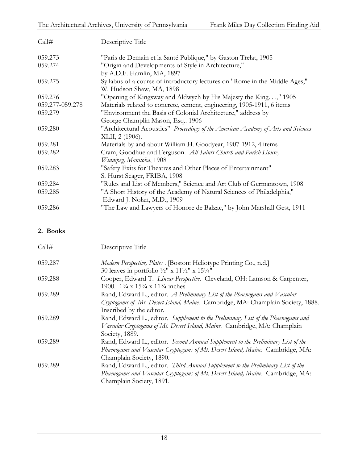| Call#           | Descriptive Title                                                                  |
|-----------------|------------------------------------------------------------------------------------|
| 059.273         | "Paris de Demain et la Santé Publique," by Gaston Trelat, 1905                     |
| 059.274         | "Origin and Developments of Style in Architecture,"                                |
|                 | by A.D.F. Hamlin, MA, 1897                                                         |
| 059.275         | Syllabus of a course of introductory lectures on "Rome in the Middle Ages,"        |
|                 | W. Hudson Shaw, MA, 1898                                                           |
| 059.276         | "Opening of Kingsway and Aldwych by His Majesty the King," 1905                    |
| 059.277-059.278 | Materials related to concrete, cement, engineering, 1905-1911, 6 items             |
| 059.279         | "Environment the Basis of Colonial Architecture," address by                       |
|                 | George Champlin Mason, Esq 1906                                                    |
| 059.280         | "Architectural Acoustics" Proceedings of the American Academy of Arts and Sciences |
|                 | XLII, 2 (1906).                                                                    |
| 059.281         | Materials by and about William H. Goodyear, 1907-1912, 4 items                     |
| 059.282         | Cram, Goodhue and Ferguson. All Saints Church and Parish House,                    |
|                 | Winnipeg, Manitoba, 1908                                                           |
| 059.283         | "Safety Exits for Theatres and Other Places of Entertainment"                      |
|                 | S. Hurst Seager, FRIBA, 1908                                                       |
| 059.284         | "Rules and List of Members," Science and Art Club of Germantown, 1908              |
| 059.285         | "A Short History of the Academy of Natural Sciences of Philadelphia,"              |
|                 | Edward J. Nolan, M.D., 1909                                                        |
| 059.286         | "The Law and Lawyers of Honore de Balzac," by John Marshall Gest, 1911             |

#### **2. Books**

| Call#   | Descriptive Title                                                                                                                                                                                                                     |
|---------|---------------------------------------------------------------------------------------------------------------------------------------------------------------------------------------------------------------------------------------|
| 059.287 | Modern Perspective, Plates . [Boston: Heliotype Printing Co., n.d.]                                                                                                                                                                   |
| 059.288 | 30 leaves in portfolio $\frac{1}{2}$ " x 11 $\frac{1}{2}$ " x 15 $\frac{1}{4}$ "<br>Cooper, Edward T. Linear Perspective. Cleveland, OH: Lamson & Carpenter,<br>1900. $1\frac{3}{4} \times 15\frac{3}{4} \times 11\frac{3}{4}$ inches |
| 059.289 | Rand, Edward L., editor. A Preliminary List of the Phaenogams and Vascular<br>Cryptogams of Mt. Desert Island, Maine. Cambridge, MA: Champlain Society, 1888.                                                                         |
| 059.289 | Inscribed by the editor.<br>Rand, Edward L., editor. Supplement to the Preliminary List of the Phaenogams and<br>Vascular Cryptogams of Mt. Desert Island, Maine. Cambridge, MA: Champlain                                            |
| 059.289 | Society, 1889.<br>Rand, Edward L., editor. Second Annual Supplement to the Preliminary List of the<br>Phaenogams and Vascular Cryptogams of Mt. Desert Island, Maine. Cambridge, MA:<br>Champlain Society, 1890.                      |
| 059.289 | Rand, Edward L., editor. Third Annual Supplement to the Preliminary List of the<br>Phaenogams and Vascular Cryptogams of Mt. Desert Island, Maine. Cambridge, MA:<br>Champlain Society, 1891.                                         |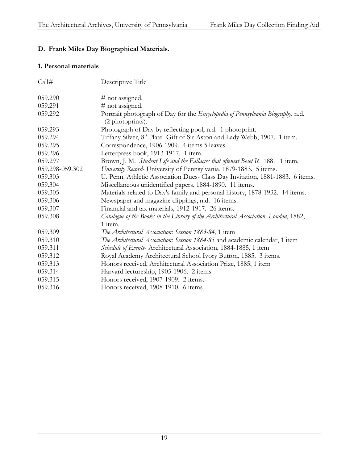#### **D. Frank Miles Day Biographical Materials.**

#### **1. Personal materials**

| Call#           | Descriptive Title                                                                                   |
|-----------------|-----------------------------------------------------------------------------------------------------|
| 059.290         | # not assigned.                                                                                     |
| 059.291         | # not assigned.                                                                                     |
| 059.292         | Portrait photograph of Day for the Encyclopedia of Pennsylvania Biography, n.d.<br>(2 photoprints). |
| 059.293         | Photograph of Day by reflecting pool, n.d. 1 photoprint.                                            |
| 059.294         | Tiffany Silver, 8" Plate- Gift of Sir Aston and Lady Webb, 1907. 1 item.                            |
| 059.295         | Correspondence, 1906-1909. 4 items 5 leaves.                                                        |
| 059.296         | Letterpress book, 1913-1917. 1 item.                                                                |
| 059.297         | Brown, J. M. Student Life and the Fallacies that oftenest Beset It. 1881 1 item.                    |
| 059.298-059.302 | University Record- University of Pennsylvania, 1879-1883. 5 items.                                  |
| 059.303         | U. Penn. Athletic Association Dues- Class Day Invitation, 1881-1883. 6 items.                       |
| 059.304         | Miscellaneous unidentified papers, 1884-1890. 11 items.                                             |
| 059.305         | Materials related to Day's family and personal history, 1878-1932. 14 items.                        |
| 059.306         | Newspaper and magazine clippings, n.d. 16 items.                                                    |
| 059.307         | Financial and tax materials, 1912-1917. 26 items.                                                   |
| 059.308         | Catalogue of the Books in the Library of the Architectural Association, London, 1882,               |
|                 | 1 item.                                                                                             |
| 059.309         | The Architectural Association: Session 1883-84, 1 item                                              |
| 059.310         | The Architectural Association: Session 1884-85 and academic calendar, 1 item                        |
| 059.311         | Schedule of Events- Architectural Association, 1884-1885, 1 item                                    |
| 059.312         | Royal Academy Architectural School Ivory Button, 1885. 3 items.                                     |
| 059.313         | Honors received, Architectural Association Prize, 1885, 1 item                                      |
| 059.314         | Harvard lectureship, 1905-1906. 2 items                                                             |
| 059.315         | Honors received, 1907-1909. 2 items.                                                                |
| 059.316         | Honors received, 1908-1910. 6 items                                                                 |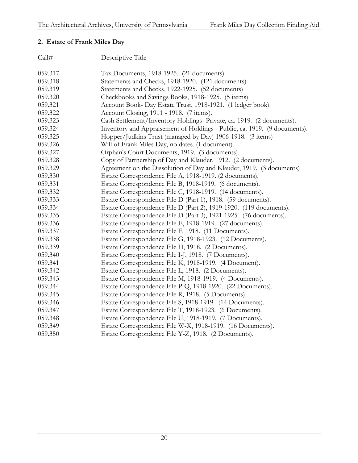#### **2. Estate of Frank Miles Day**

| Call#   | Descriptive Title                                                         |
|---------|---------------------------------------------------------------------------|
| 059.317 | Tax Documents, 1918-1925. (21 documents).                                 |
| 059.318 | Statements and Checks, 1918-1920. (121 documents)                         |
| 059.319 | Statements and Checks, 1922-1925. (52 documents)                          |
| 059.320 | Checkbooks and Savings Books, 1918-1925. (5 items)                        |
| 059.321 | Account Book- Day Estate Trust, 1918-1921. (1 ledger book).               |
| 059.322 | Account Closing, 1911 - 1918. (7 items).                                  |
| 059.323 | Cash Settlement/Inventory Holdings- Private, ca. 1919. (2 documents).     |
| 059.324 | Inventory and Appraisement of Holdings - Public, ca. 1919. (9 documents). |
| 059.325 | Hopper/Judkins Trust (managed by Day) 1906-1918. (3 items)                |
| 059.326 | Will of Frank Miles Day, no dates. (1 document).                          |
| 059.327 | Orphan's Court Documents, 1919. (3 documents).                            |
| 059.328 | Copy of Partnership of Day and Klauder, 1912. (2 documents).              |
| 059.329 | Agreement on the Dissolution of Day and Klauder, 1919. (3 documents)      |
| 059.330 | Estate Correspondence File A, 1918-1919. (2 documents).                   |
| 059.331 | Estate Correspondence File B, 1918-1919. (6 documents).                   |
| 059.332 | Estate Correspondence File C, 1918-1919. (14 documents).                  |
| 059.333 | Estate Correspondence File D (Part 1), 1918. (59 documents).              |
| 059.334 | Estate Correspondence File D (Part 2), 1919-1920. (119 documents).        |
| 059.335 | Estate Correspondence File D (Part 3), 1921-1925. (76 documents).         |
| 059.336 | Estate Correspondence File E, 1918-1919. (27 documents).                  |
| 059.337 | Estate Correspondence File F, 1918. (11 Documents).                       |
| 059.338 | Estate Correspondence File G, 1918-1923. (12 Documents).                  |
| 059.339 | Estate Correspondence File H, 1918. (2 Documents).                        |
| 059.340 | Estate Correspondence File I-J, 1918. (7 Documents).                      |
| 059.341 | Estate Correspondence File K, 1918-1919. (4 Document).                    |
| 059.342 | Estate Correspondence File L, 1918. (2 Documents).                        |
| 059.343 | Estate Correspondence File M, 1918-1919. (4 Documents).                   |
| 059.344 | Estate Correspondence File P-Q, 1918-1920. (22 Documents).                |
| 059.345 | Estate Correspondence File R, 1918. (5 Documents).                        |
| 059.346 | Estate Correspondence File S, 1918-1919. (14 Documents).                  |
| 059.347 | Estate Correspondence File T, 1918-1923. (6 Documents).                   |
| 059.348 | Estate Correspondence File U, 1918-1919. (7 Documents).                   |
| 059.349 | Estate Correspondence File W-X, 1918-1919. (16 Documents).                |
| 059.350 | Estate Correspondence File Y-Z, 1918. (2 Documents).                      |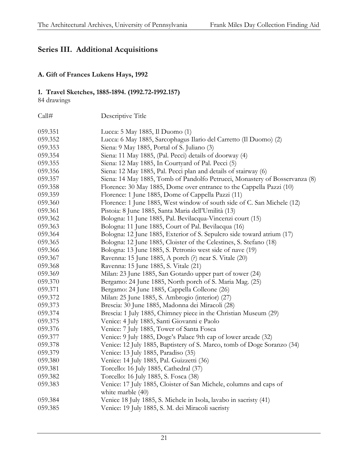# **Series III. Additional Acquisitions**

#### **A. Gift of Frances Lukens Hays, 1992**

#### **1. Travel Sketches, 1885-1894. (1992.72-1992.157)**

84 drawings

| Call#   | Descriptive Title                                                                       |
|---------|-----------------------------------------------------------------------------------------|
| 059.351 | Lucca: 5 May 1885, Il Duomo (1)                                                         |
| 059.352 | Lucca: 6 May 1885, Sarcophagus Ilario del Carretto (Il Duomo) (2)                       |
| 059.353 | Siena: 9 May 1885, Portal of S. Juliano (3)                                             |
| 059.354 | Siena: 11 May 1885, (Pal. Pecci) details of doorway (4)                                 |
| 059.355 | Siena: 12 May 1885, In Courtyard of Pal. Pecci (5)                                      |
| 059.356 | Siena: 12 May 1885, Pal. Pecci plan and details of stairway (6)                         |
| 059.357 | Siena: 14 May 1885, Tomb of Pandolfo Petrucci, Monastery of Bosservanza (8)             |
| 059.358 | Florence: 30 May 1885, Dome over entrance to the Cappella Pazzi (10)                    |
| 059.359 | Florence: 1 June 1885, Dome of Cappella Pazzi (11)                                      |
| 059.360 | Florence: 1 June 1885, West window of south side of C. San Michele (12)                 |
| 059.361 | Pistoia: 8 June 1885, Santa Maria dell'Umilità (13)                                     |
| 059.362 | Bologna: 11 June 1885, Pal. Bevilacqua-Vincenzi court (15)                              |
| 059.363 | Bologna: 11 June 1885, Court of Pal. Bevilacqua (16)                                    |
| 059.364 | Bologna: 12 June 1885, Exterior of S. Sepulcro side toward atrium (17)                  |
| 059.365 | Bologna: 12 June 1885, Cloister of the Celestines, S. Stefano (18)                      |
| 059.366 | Bologna: 13 June 1885, S. Petronio west side of nave (19)                               |
| 059.367 | Ravenna: 15 June 1885, A porch (?) near S. Vitale (20)                                  |
| 059.368 | Ravenna: 15 June 1885, S. Vitale (21)                                                   |
| 059.369 | Milan: 23 June 1885, San Gotardo upper part of tower (24)                               |
| 059.370 | Bergamo: 24 June 1885, North porch of S. Maria Mag. (25)                                |
| 059.371 | Bergamo: 24 June 1885, Cappella Colleone (26)                                           |
| 059.372 | Milan: 25 June 1885, S. Ambrogio (interior) (27)                                        |
| 059.373 | Brescia: 30 June 1885, Madonna dei Miracoli (28)                                        |
| 059.374 | Brescia: 1 July 1885, Chimney piece in the Christian Museum (29)                        |
| 059.375 | Venice: 4 July 1885, Santi Giovanni e Paolo                                             |
| 059.376 | Venice: 7 July 1885, Tower of Santa Fosca                                               |
| 059.377 | Venice: 9 July 1885, Doge's Palace 9th cap of lower arcade (32)                         |
| 059.378 | Venice: 12 July 1885, Baptistery of S. Marco, tomb of Doge Soranzo (34)                 |
| 059.379 | Venice: 13 July 1885, Paradiso (35)                                                     |
| 059.380 | Venice: 14 July 1885, Pal. Guizzetti (36)                                               |
| 059.381 | Torcello: 16 July 1885, Cathedral (37)                                                  |
| 059.382 | Torcello: 16 July 1885, S. Fosca (38)                                                   |
| 059.383 | Venice: 17 July 1885, Cloister of San Michele, columns and caps of<br>white marble (40) |
| 059.384 | Venice 18 July 1885, S. Michele in Isola, lavabo in sacristy (41)                       |
| 059.385 | Venice: 19 July 1885, S. M. dei Miracoli sacristy                                       |
|         |                                                                                         |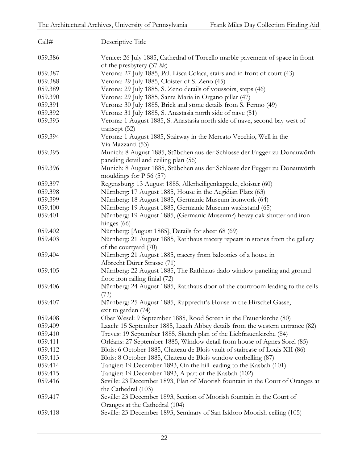| Call#   | Descriptive Title                                                                                                  |
|---------|--------------------------------------------------------------------------------------------------------------------|
| 059.386 | Venice: 26 July 1885, Cathedral of Torcello marble pavement of space in front<br>of the presbytery (37 bis)        |
| 059.387 | Verona: 27 July 1885, Pal. Lisca Colaca, stairs and in front of court (43)                                         |
| 059.388 | Verona: 29 July 1885, Cloister of S. Zeno (45)                                                                     |
| 059.389 | Verona: 29 July 1885, S. Zeno details of voussoirs, steps (46)                                                     |
| 059.390 | Verona: 29 July 1885, Santa Maria in Organo pillar (47)                                                            |
| 059.391 | Verona: 30 July 1885, Brick and stone details from S. Fermo (49)                                                   |
| 059.392 | Verona: 31 July 1885, S. Anastasia north side of nave (51)                                                         |
| 059.393 | Verona: 1 August 1885, S. Anastasia north side of nave, second bay west of<br>transept $(52)$                      |
| 059.394 | Verona: 1 August 1885, Stairway in the Mercato Vecchio, Well in the<br>Via Mazzanti (53)                           |
| 059.395 | Munich: 8 August 1885, Stübchen aus der Schlosse der Fugger zu Donauwörth<br>paneling detail and ceiling plan (56) |
| 059.396 | Munich: 8 August 1885, Stübchen aus der Schlosse der Fugger zu Donauwörth<br>mouldings for $P$ 56 (57)             |
| 059.397 | Regensburg: 13 August 1885, Allerheiligenkappele, cloister (60)                                                    |
| 059.398 | Nürnberg: 17 August 1885, House in the Aegidian Platz (63)                                                         |
| 059.399 | Nürnberg: 18 August 1885, Germanic Museum ironwork (64)                                                            |
| 059.400 | Nürnberg: 19 August 1885, Germanic Museum washstand (65)                                                           |
| 059.401 | Nürnberg: 19 August 1885, (Germanic Museum?) heavy oak shutter and iron<br>hinges (66)                             |
| 059.402 | Nürnberg: [August 1885], Details for sheet 68 (69)                                                                 |
| 059.403 | Nürnberg: 21 August 1885, Rathhaus tracery repeats in stones from the gallery<br>of the courtyard (70)             |
| 059.404 | Nürnberg: 21 August 1885, tracery from balconies of a house in<br>Albrecht Dürer Strasse (71)                      |
| 059.405 | Nürnberg: 22 August 1885, The Rathhaus dado window paneling and ground<br>floor iron railing finial (72)           |
| 059.406 | Nürnberg: 24 August 1885, Rathhaus door of the courtroom leading to the cells<br>(73)                              |
| 059.407 | Nürnberg: 25 August 1885, Rupprecht's House in the Hirschel Gasse,<br>exit to garden (74)                          |
| 059.408 | Ober Wesel: 9 September 1885, Rood Screen in the Frauenkirche (80)                                                 |
| 059.409 | Laach: 15 September 1885, Laach Abbey details from the western entrance (82)                                       |
| 059.410 | Treves: 19 September 1885, Sketch plan of the Liebfrauenkirche (84)                                                |
| 059.411 | Orléans: 27 September 1885, Window detail from house of Agnes Sorel (85)                                           |
| 059.412 | Blois: 6 October 1885, Chateau de Blois vault of staircase of Louis XII (86)                                       |
| 059.413 | Blois: 8 October 1885, Chateau de Blois window corbelling (87)                                                     |
| 059.414 | Tangier: 19 December 1893, On the hill leading to the Kasbah (101)                                                 |
| 059.415 | Tangier: 19 December 1893, A part of the Kasbah (102)                                                              |
| 059.416 | Seville: 23 December 1893, Plan of Moorish fountain in the Court of Oranges at<br>the Cathedral (103)              |
| 059.417 | Seville: 23 December 1893, Section of Moorish fountain in the Court of<br>Oranges at the Cathedral (104)           |
| 059.418 | Seville: 23 December 1893, Seminary of San Isidoro Moorish ceiling (105)                                           |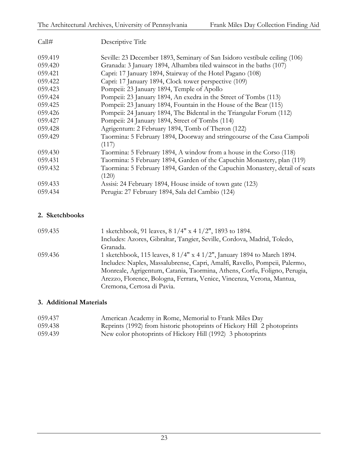| Call#   | Descriptive Title                                                                     |
|---------|---------------------------------------------------------------------------------------|
| 059.419 | Seville: 23 December 1893, Seminary of San Isidoro vestibule ceiling (106)            |
| 059.420 | Granada: 3 January 1894, Alhambra tiled wainscot in the baths (107)                   |
| 059.421 | Capri: 17 January 1894, Stairway of the Hotel Pagano (108)                            |
| 059.422 | Capri: 17 January 1894, Clock tower perspective (109)                                 |
| 059.423 | Pompeii: 23 January 1894, Temple of Apollo                                            |
| 059.424 | Pompeii: 23 January 1894, An exedra in the Street of Tombs (113)                      |
| 059.425 | Pompeii: 23 January 1894, Fountain in the House of the Bear (115)                     |
| 059.426 | Pompeii: 24 January 1894, The Bidental in the Triangular Forum (112)                  |
| 059.427 | Pompeii: 24 January 1894, Street of Tombs (114)                                       |
| 059.428 | Agrigentum: 2 February 1894, Tomb of Theron (122)                                     |
| 059.429 | Taormina: 5 February 1894, Doorway and stringcourse of the Casa Ciampoli<br>(117)     |
| 059.430 | Taormina: 5 February 1894, A window from a house in the Corso (118)                   |
| 059.431 | Taormina: 5 February 1894, Garden of the Capuchin Monastery, plan (119)               |
| 059.432 | Taormina: 5 February 1894, Garden of the Capuchin Monastery, detail of seats<br>(120) |
| 059.433 | Assisi: 24 February 1894, House inside of town gate (123)                             |
| 059.434 | Perugia: 27 February 1894, Sala del Cambio (124)                                      |

#### **2. Sketchbooks**

| 059.435 | 1 sketchbook, 91 leaves, $8 \frac{1}{4}$ x 4 $\frac{1}{2}$ , 1893 to 1894.                |
|---------|-------------------------------------------------------------------------------------------|
|         | Includes: Azores, Gibraltar, Tangier, Seville, Cordova, Madrid, Toledo,                   |
|         | Granada.                                                                                  |
| 059.436 | 1 sketchbook, 115 leaves, $8 \frac{1}{4}$ x 4 $\frac{1}{2}$ , January 1894 to March 1894. |
|         | Includes: Naples, Massalubrense, Capri, Amalfi, Ravello, Pompeii, Palermo,                |
|         | Monreale, Agrigentum, Catania, Taormina, Athens, Corfu, Foligno, Perugia,                 |
|         | Arezzo, Florence, Bologna, Ferrara, Venice, Vincenza, Verona, Mantua,                     |
|         | Cremona, Certosa di Pavia.                                                                |

#### **3. Additional Materials**

| 059.437 | American Academy in Rome, Memorial to Frank Miles Day                   |
|---------|-------------------------------------------------------------------------|
| 059.438 | Reprints (1992) from historic photoprints of Hickory Hill 2 photoprints |
| 059.439 | New color photoprints of Hickory Hill (1992) 3 photoprints              |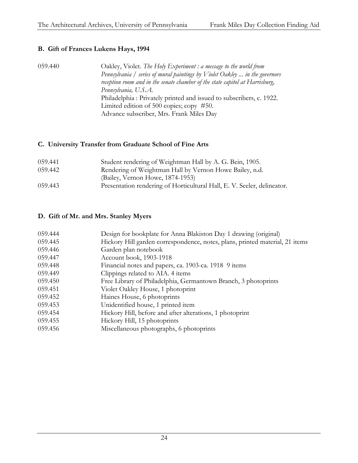#### **B. Gift of Frances Lukens Hays, 1994**

059.440 Oakley, Violet. *The Holy Experiment : a message to the world from Pennsylvania / series of mural paintings by Violet Oakley ... in the governors reception room and in the senate chamber of the state capitol at Harrisburg, Pennsylvania, U.S.A.* Philadelphia : Privately printed and issued to subscribers, c. 1922. Limited edition of 500 copies; copy #50. Advance subscriber, Mrs. Frank Miles Day

#### **C. University Transfer from Graduate School of Fine Arts**

| 059.441 | Student rendering of Weightman Hall by A. G. Bein, 1905.                |
|---------|-------------------------------------------------------------------------|
| 059.442 | Rendering of Weightman Hall by Vernon Howe Bailey, n.d.                 |
|         | (Bailey, Vernon Howe, 1874-1953)                                        |
| 059.443 | Presentation rendering of Horticultural Hall, E. V. Seeler, delineator. |

#### **D. Gift of Mr. and Mrs. Stanley Myers**

| 059.444 | Design for bookplate for Anna Blakiston Day 1 drawing (original)             |
|---------|------------------------------------------------------------------------------|
| 059.445 | Hickory Hill garden correspondence, notes, plans, printed material, 21 items |
| 059.446 | Garden plan notebook                                                         |
| 059.447 | Account book, 1903-1918                                                      |
| 059.448 | Financial notes and papers, ca. 1903-ca. 1918 9 items                        |
| 059.449 | Clippings related to AIA. 4 items                                            |
| 059.450 | Free Library of Philadelphia, Germantown Branch, 3 photoprints               |
| 059.451 | Violet Oakley House, 1 photoprint                                            |
| 059.452 | Haines House, 6 photoprints                                                  |
| 059.453 | Unidentified house, 1 printed item                                           |
| 059.454 | Hickory Hill, before and after alterations, 1 photoprint                     |
| 059.455 | Hickory Hill, 15 photoprints                                                 |
| 059.456 | Miscellaneous photographs, 6 photoprints                                     |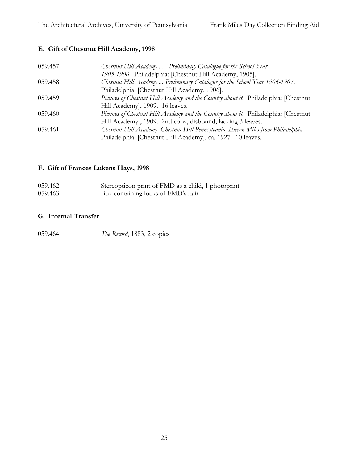#### **E. Gift of Chestnut Hill Academy, 1998**

| 059.457 | Chestnut Hill Academy  Preliminary Catalogue for the School Year                     |
|---------|--------------------------------------------------------------------------------------|
|         | 1905-1906. Philadelphia: [Chestnut Hill Academy, 1905].                              |
| 059.458 | Chestnut Hill Academy  Preliminary Catalogue for the School Year 1906-1907.          |
|         | Philadelphia: [Chestnut Hill Academy, 1906].                                         |
| 059.459 | Pictures of Chestnut Hill Academy and the Country about it. Philadelphia: [Chestnut] |
|         | Hill Academy], 1909. 16 leaves.                                                      |
| 059.460 | Pictures of Chestnut Hill Academy and the Country about it. Philadelphia: [Chestnut  |
|         | Hill Academy], 1909. 2nd copy, disbound, lacking 3 leaves.                           |
| 059.461 | Chestnut Hill Academy, Chestnut Hill Pennsylvania, Eleven Miles from Philadelphia.   |
|         | Philadelphia: [Chestnut Hill Academy], ca. 1927. 10 leaves.                          |

#### **F. Gift of Frances Lukens Hays, 1998**

| 059.462 | Stereopticon print of FMD as a child, 1 photoprint |
|---------|----------------------------------------------------|
| 059.463 | Box containing locks of FMD's hair                 |

#### **G. Internal Transfer**

| 059.464 | The Record, 1883, 2 copies |
|---------|----------------------------|
|---------|----------------------------|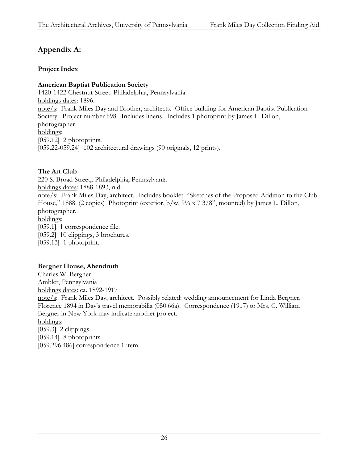# **Appendix A:**

#### **Project Index**

#### **American Baptist Publication Society**

1420-1422 Chestnut Street. Philadelphia, Pennsylvania holdings dates: 1896. note/s: Frank Miles Day and Brother, architects. Office building for American Baptist Publication Society. Project number 698. Includes linens. Includes 1 photoprint by James L. Dillon, photographer. holdings: [059.12] 2 photoprints. [059.22-059.24] 102 architectural drawings (90 originals, 12 prints).

#### **The Art Club**

220 S. Broad Street,. Philadelphia, Pennsylvania holdings dates: 1888-1893, n.d. note/s: Frank Miles Day, architect. Includes booklet: "Sketches of the Proposed Addition to the Club House," 1888. (2 copies) Photoprint (exterior, b/w,  $9\frac{1}{4} \times 7 \frac{3}{8}$ ", mounted) by James L. Dillon, photographer. holdings: [059.1] 1 correspondence file. [059.2] 10 clippings, 3 brochures. [059.13] 1 photoprint.

#### **Bergner House, Abendruth**

Charles W. Bergner Ambler, Pennsylvania holdings dates: ca. 1892-1917 note/s: Frank Miles Day, architect. Possibly related: wedding announcement for Linda Bergner, Florence 1894 in Day's travel memorabilia (050.66a). Correspondence (1917) to Mrs. C. William Bergner in New York may indicate another project. holdings: [059.3] 2 clippings. [059.14] 8 photoprints. [059.296.486] correspondence 1 item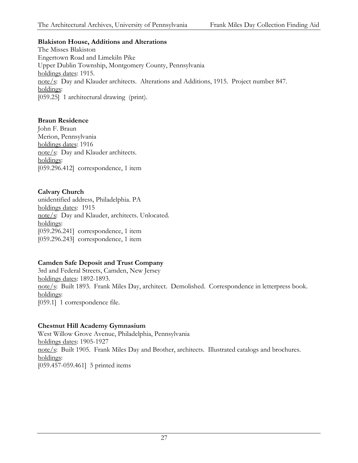#### **Blakiston House, Additions and Alterations**

The Misses Blakiston Engertown Road and Limekiln Pike Upper Dublin Township, Montgomery County, Pennsylvania holdings dates: 1915. note/s: Day and Klauder architects. Alterations and Additions, 1915. Project number 847. holdings: [059.25] 1 architectural drawing (print).

#### **Braun Residence**

John F. Braun Merion, Pennsylvania holdings dates: 1916 note/s: Day and Klauder architects. holdings: [059.296.412] correspondence, 1 item

#### **Calvary Church**

unidentified address, Philadelphia. PA holdings dates: 1915 note/s: Day and Klauder, architects. Unlocated. holdings: [059.296.241] correspondence, 1 item [059.296.243] correspondence, 1 item

#### **Camden Safe Deposit and Trust Company**

3rd and Federal Streets, Camden, New Jersey holdings dates: 1892-1893. note/s: Built 1893. Frank Miles Day, architect. Demolished. Correspondence in letterpress book. holdings: [059.1] 1 correspondence file.

#### **Chestnut Hill Academy Gymnasium**

West Willow Grove Avenue, Philadelphia, Pennsylvania holdings dates: 1905-1927 note/s: Built 1905. Frank Miles Day and Brother, architects. Illustrated catalogs and brochures. holdings: [059.457-059.461] 5 printed items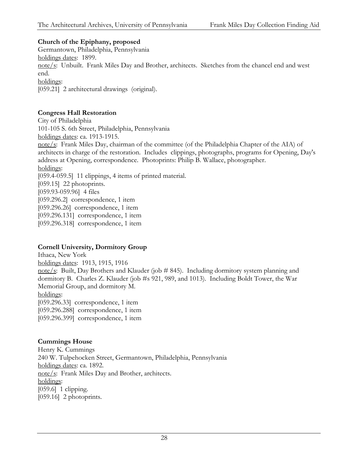#### **Church of the Epiphany, proposed**

Germantown, Philadelphia, Pennsylvania holdings dates: 1899. note/s: Unbuilt. Frank Miles Day and Brother, architects. Sketches from the chancel end and west end. holdings: [059.21] 2 architectural drawings (original).

#### **Congress Hall Restoration**

City of Philadelphia 101-105 S. 6th Street, Philadelphia, Pennsylvania holdings dates: ca. 1913-1915. note/s: Frank Miles Day, chairman of the committee (of the Philadelphia Chapter of the AIA) of architects in charge of the restoration. Includes clippings, photographs, programs for Opening, Day's address at Opening, correspondence. Photoprints: Philip B. Wallace, photographer. holdings: [059.4-059.5] 11 clippings, 4 items of printed material. [059.15] 22 photoprints. [059.93-059.96] 4 files [059.296.2] correspondence, 1 item [059.296.26] correspondence, 1 item [059.296.131] correspondence, 1 item [059.296.318] correspondence, 1 item

#### **Cornell University, Dormitory Group**

Ithaca, New York holdings dates: 1913, 1915, 1916 note/s: Built, Day Brothers and Klauder (job # 845). Including dormitory system planning and dormitory B. Charles Z. Klauder (job #s 921, 989, and 1013). Including Boldt Tower, the War Memorial Group, and dormitory M. holdings: [059.296.33] correspondence, 1 item [059.296.288] correspondence, 1 item [059.296.399] correspondence, 1 item

#### **Cummings House**

Henry K. Cummings 240 W. Tulpehocken Street, Germantown, Philadelphia, Pennsylvania holdings dates: ca. 1892. note/s: Frank Miles Day and Brother, architects. holdings: [059.6] 1 clipping. [059.16] 2 photoprints.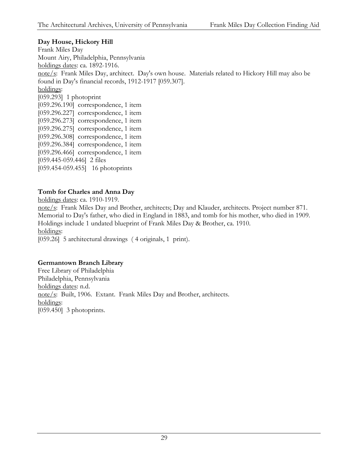#### **Day House, Hickory Hill**

Frank Miles Day Mount Airy, Philadelphia, Pennsylvania holdings dates: ca. 1892-1916. note/s: Frank Miles Day, architect. Day's own house. Materials related to Hickory Hill may also be found in Day's financial records, 1912-1917 [059.307]. holdings: [059.293] 1 photoprint [059.296.190] correspondence, 1 item [059.296.227] correspondence, 1 item [059.296.273] correspondence, 1 item [059.296.275] correspondence, 1 item [059.296.308] correspondence, 1 item [059.296.384] correspondence, 1 item [059.296.466] correspondence, 1 item [059.445-059.446] 2 files [059.454-059.455] 16 photoprints

#### **Tomb for Charles and Anna Day**

holdings dates: ca. 1910-1919. note/s: Frank Miles Day and Brother, architects; Day and Klauder, architects. Project number 871. Memorial to Day's father, who died in England in 1883, and tomb for his mother, who died in 1909. Holdings include 1 undated blueprint of Frank Miles Day & Brother, ca. 1910. holdings: [059.26] 5 architectural drawings (4 originals, 1 print).

#### **Germantown Branch Library**

Free Library of Philadelphia Philadelphia, Pennsylvania holdings dates: n.d. note/s: Built, 1906. Extant. Frank Miles Day and Brother, architects. holdings: [059.450] 3 photoprints.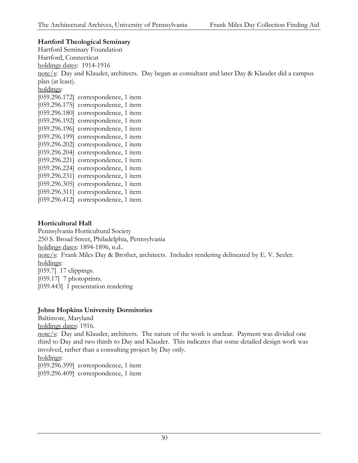#### **Hartford Theological Seminary**

Hartford Seminary Foundation Hartford, Connecticut holdings dates: 1914-1916 note/s: Day and Klauder, architects. Day began as consultant and later Day & Klauder did a campus plan (at least). holdings: [059.296.172] correspondence, 1 item [059.296.175] correspondence, 1 item [059.296.180] correspondence, 1 item [059.296.192] correspondence, 1 item [059.296.196] correspondence, 1 item [059.296.199] correspondence, 1 item [059.296.202] correspondence, 1 item [059.296.204] correspondence, 1 item [059.296.221] correspondence, 1 item [059.296.224] correspondence, 1 item [059.296.231] correspondence, 1 item [059.296.305] correspondence, 1 item [059.296.311] correspondence, 1 item [059.296.412] correspondence, 1 item

#### **Horticultural Hall**

Pennsylvania Horticultural Society 250 S. Broad Street, Philadelphia, Pennsylvania holdings dates: 1894-1896, n.d.. note/s: Frank Miles Day & Brother, architects. Includes rendering delineated by E. V. Seeler. holdings: [059.7] 17 clippings. [059.17] 7 photoprints. [059.443] 1 presentation rendering

#### **Johns Hopkins University Dormitories**

Baltimore, Maryland

holdings dates: 1916.

note/s: Day and Klauder, architects. The nature of the work is unclear. Payment was divided one third to Day and two thirds to Day and Klauder. This indicates that some detailed design work was involved, rather than a consulting project by Day only.

holdings:

[059.296.399] correspondence, 1 item

[059.296.409] correspondence, 1 item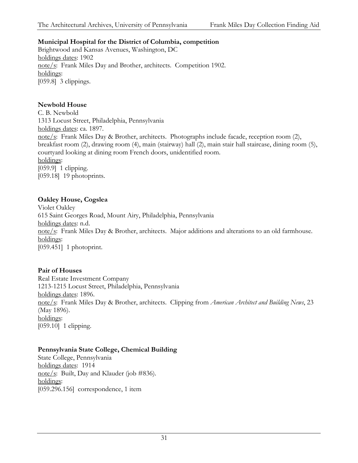#### **Municipal Hospital for the District of Columbia, competition**

Brightwood and Kansas Avenues, Washington, DC holdings dates: 1902 note/s: Frank Miles Day and Brother, architects. Competition 1902. holdings: [059.8] 3 clippings.

#### **Newbold House**

C. B. Newbold 1313 Locust Street, Philadelphia, Pennsylvania holdings dates: ca. 1897. note/s: Frank Miles Day & Brother, architects. Photographs include facade, reception room (2), breakfast room (2), drawing room (4), main (stairway) hall (2), main stair hall staircase, dining room (5), courtyard looking at dining room French doors, unidentified room. holdings: [059.9] 1 clipping. [059.18] 19 photoprints.

#### **Oakley House, Cogslea**

Violet Oakley 615 Saint Georges Road, Mount Airy, Philadelphia, Pennsylvania holdings dates: n.d. note/s: Frank Miles Day & Brother, architects. Major additions and alterations to an old farmhouse. holdings: [059.451] 1 photoprint.

#### **Pair of Houses**

Real Estate Investment Company 1213-1215 Locust Street, Philadelphia, Pennsylvania holdings dates: 1896. note/s: Frank Miles Day & Brother, architects. Clipping from *American Architect and Building News*, 23 (May 1896). holdings: [059.10] 1 clipping.

#### **Pennsylvania State College, Chemical Building**

State College, Pennsylvania holdings dates: 1914 note/s: Built, Day and Klauder (job #836). holdings: [059.296.156] correspondence, 1 item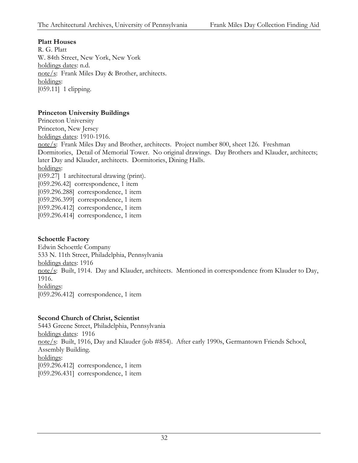#### **Platt Houses**

R. G. Platt W. 84th Street, New York, New York holdings dates: n.d. note/s: Frank Miles Day & Brother, architects. holdings: [059.11] 1 clipping.

#### **Princeton University Buildings**

Princeton University Princeton, New Jersey holdings dates: 1910-1916. note/s: Frank Miles Day and Brother, architects. Project number 800, sheet 126. Freshman Dormitories, Detail of Memorial Tower. No original drawings. Day Brothers and Klauder, architects; later Day and Klauder, architects. Dormitories, Dining Halls. holdings: [059.27] 1 architectural drawing (print). [059.296.42] correspondence, 1 item [059.296.288] correspondence, 1 item [059.296.399] correspondence, 1 item [059.296.412] correspondence, 1 item [059.296.414] correspondence, 1 item

#### **Schoettle Factory**

Edwin Schoettle Company 533 N. 11th Street, Philadelphia, Pennsylvania holdings dates: 1916 note/s: Built, 1914. Day and Klauder, architects. Mentioned in correspondence from Klauder to Day, 1916. holdings: [059.296.412] correspondence, 1 item

#### **Second Church of Christ, Scientist**

5443 Greene Street, Philadelphia, Pennsylvania holdings dates: 1916 note/s: Built, 1916, Day and Klauder (job #854). After early 1990s, Germantown Friends School, Assembly Building. holdings: [059.296.412] correspondence, 1 item [059.296.431] correspondence, 1 item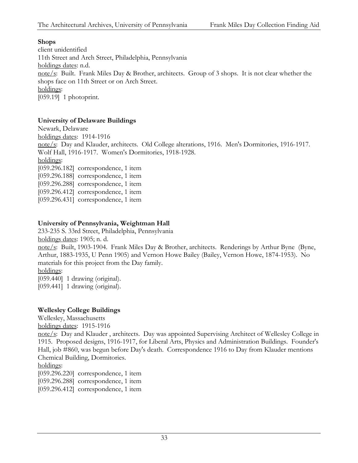#### **Shops**

client unidentified 11th Street and Arch Street, Philadelphia, Pennsylvania holdings dates: n.d. note/s: Built. Frank Miles Day & Brother, architects. Group of 3 shops. It is not clear whether the shops face on 11th Street or on Arch Street. holdings: [059.19] 1 photoprint.

#### **University of Delaware Buildings**

Newark, Delaware holdings dates: 1914-1916 note/s: Day and Klauder, architects. Old College alterations, 1916. Men's Dormitories, 1916-1917. Wolf Hall, 1916-1917. Women's Dormitories, 1918-1928. holdings: [059.296.182] correspondence, 1 item [059.296.188] correspondence, 1 item [059.296.288] correspondence, 1 item [059.296.412] correspondence, 1 item [059.296.431] correspondence, 1 item

#### **University of Pennsylvania, Weightman Hall**

233-235 S. 33rd Street, Philadelphia, Pennsylvania

holdings dates: 1905; n. d.

note/s: Built, 1903-1904. Frank Miles Day & Brother, architects. Renderings by Arthur Byne (Byne, Arthur, 1883-1935, U Penn 1905) and Vernon Howe Bailey (Bailey, Vernon Howe, 1874-1953). No materials for this project from the Day family.

holdings:

[059.440] 1 drawing (original).

[059.441] 1 drawing (original).

#### **Wellesley College Buildings**

Wellesley, Massachusetts

holdings dates: 1915-1916

note/s: Day and Klauder , architects. Day was appointed Supervising Architect of Wellesley College in 1915. Proposed designs, 1916-1917, for Liberal Arts, Physics and Administration Buildings. Founder's Hall, job #860, was begun before Day's death. Correspondence 1916 to Day from Klauder mentions Chemical Building, Dormitories.

#### holdings:

[059.296.220] correspondence, 1 item

[059.296.288] correspondence, 1 item

[059.296.412] correspondence, 1 item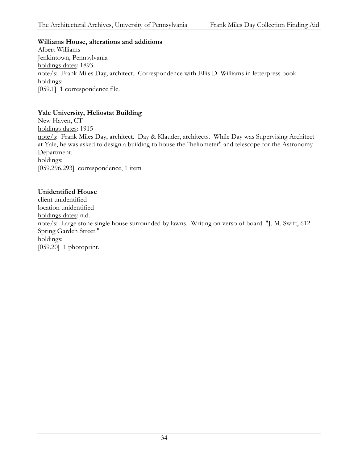#### **Williams House, alterations and additions**

Albert Williams Jenkintown, Pennsylvania holdings dates: 1893. note/s: Frank Miles Day, architect. Correspondence with Ellis D. Williams in letterpress book. holdings: [059.1] 1 correspondence file.

#### **Yale University, Heliostat Building**

New Haven, CT holdings dates: 1915 note/s: Frank Miles Day, architect. Day & Klauder, architects. While Day was Supervising Architect at Yale, he was asked to design a building to house the "heliometer" and telescope for the Astronomy Department. holdings: [059.296.293] correspondence, 1 item

#### **Unidentified House**

client unidentified location unidentified holdings dates: n.d. note/s: Large stone single house surrounded by lawns. Writing on verso of board: "J. M. Swift, 612 Spring Garden Street." holdings: [059.20] 1 photoprint.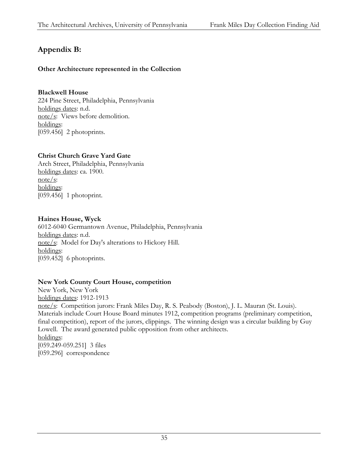# **Appendix B:**

#### **Other Architecture represented in the Collection**

#### **Blackwell House**

224 Pine Street, Philadelphia, Pennsylvania holdings dates: n.d. note/s: Views before demolition. holdings: [059.456] 2 photoprints.

#### **Christ Church Grave Yard Gate**

Arch Street, Philadelphia, Pennsylvania holdings dates: ca. 1900. note/s: holdings: [059.456] 1 photoprint.

#### **Haines House, Wyck**

6012-6040 Germantown Avenue, Philadelphia, Pennsylvania holdings dates: n.d. note/s: Model for Day's alterations to Hickory Hill. holdings: [059.452] 6 photoprints.

#### **New York County Court House, competition**

New York, New York holdings dates: 1912-1913 note/s: Competition jurors: Frank Miles Day, R. S. Peabody (Boston), J. L. Mauran (St. Louis). Materials include Court House Board minutes 1912, competition programs (preliminary competition, final competition), report of the jurors, clippings. The winning design was a circular building by Guy Lowell. The award generated public opposition from other architects. holdings: [059.249-059.251] 3 files [059.296] correspondence